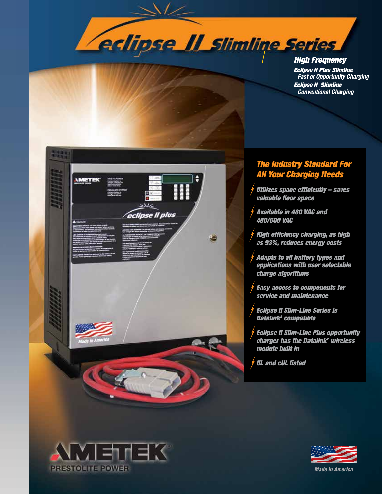

*High Frequency* 

*Eclipse II Plus Slimline Fast or Opportunity Charging Eclipse II Slimline Conventional Charging*



## *The Industry Standard For All Your Charging Needs*

- *Utilizes space efficiently saves valuable floor space*
- *Available in 480 VAC and 480/600 VAC*
- *High efficiency charging, as high as 93%, reduces energy costs*
- *Adapts to all battery types and applications with user selectable charge algorithms*
- *Easy access to components for service and maintenance*
- *Eclipse II Slim-Line Series is Datalink2 compatible*
- *Eclipse II Slim-Line Plus opportunity charger has the Datalink2 wireless module built in*
- *UL and cUL listed*





*Made in America*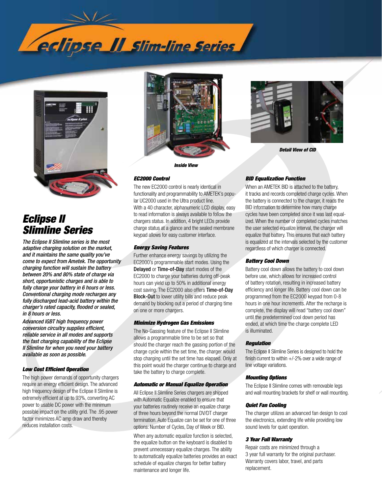



# *Eclipse II Slimline Series*

*The Eclipse II Slimline series is the most adaptive charging solution on the market, and it maintains the same quality you've come to expect from Ametek. The opportunity charging function will sustain the battery between 20% and 80% state of charge via short, opportunistic charges and is able to fully charge your battery in 6 hours or less. Conventional charging mode recharges any fully discharged lead-acid battery within the charger's rated capacity, flooded or sealed, in 8 hours or less.* 

*Advanced IGBT high frequency power conversion circuitry supplies efficient, reliable service in all modes and supports the fast charging capability of the Eclipse II Slimline for when you need your battery available as soon as possible.* 

### *Low Cost Efficient Operation*

The high power demands of opportunity chargers require an energy efficient design. The advanced high frequency design of the Eclipse II Slimline is extremely efficient at up to 93%, converting AC power to usable DC power with the minimum possible impact on the utility grid. The .95 power factor minimizes AC amp draw and thereby reduces installation costs.





*Detail View of CID*

#### *EC2000 Control*

The new EC2000 control is nearly identical in functionality and programmability to AMETEK's popular UC2000 used in the Ultra product line. With a 40 character, alphanumeric LCD display, easy to read information is always available to follow the chargers status. In addition, 4 bright LEDs provide charge status at a glance and the sealed membrane keypad allows for easy customer interface.

### *Energy Saving Features*

Further enhance energy savings by utilizing the EC2000's programmable start modes. Using the Delayed or Time-of-Day start modes of the EC2000 to charge your batteries during off-peak hours can yield up to 50% in additional energy cost saving. The EC2000 also offers Time-of-Day Block-Out to lower utility bills and reduce peak demand by blocking out a period of charging time on one or more chargers.

#### *Minimize Hydrogen Gas Emissions*

The No-Gassing feature of the Eclipse II Slimline allows a programmable time to be set so that should the charger reach the gassing portion of the charge cycle within the set time, the charger would stop charging until the set time has elapsed. Only at this point would the charger continue to charge and take the battery to charge complete.

### *Automatic or Manual Equalize Operation*

All Eclipse II Slimline Series chargers are shipped with Automatic Equalize enabled to ensure that your batteries routinely receive an equalize charge of three hours beyond the normal DV/DT charger termination. Auto Equalize can be set for one of three options: Number of Cycles, Day of Week or BID.

When any automatic equalize function is selected, the equalize button on the keyboard is disabled to prevent unnecessary equalize charges. The ability to automatically equalize batteries provides an exact schedule of equalize charges for better battery maintenance and longer life.

### *BID Equalization Function*

When an AMETEK BID is attached to the battery, it tracks and records completed charge cycles. When the battery is connected to the charger, it reads the BID information to determine how many charge cycles have been completed since it was last equalized. When the number of completed cycles matches the user selected equalize interval, the charger will equalize that battery. This ensures that each battery is equalized at the intervals selected by the customer regardless of which charger is connected.

### *Battery Cool Down*

Battery cool down allows the battery to cool down before use, which allows for increased control of battery rotation, resulting in increased battery efficiency and longer life. Battery cool down can be programmed from the EC2000 keypad from 0-8 hours in one hour increments. After the recharge is complete, the display will read "battery cool down" until the predetermined cool down period has ended, at which time the charge complete LED is illuminated.

#### *Regulation*

The Eclipse II Slimline Series is designed to hold the finish current to within  $+/-2\%$  over a wide range of line voltage variations.

#### *Mounting Options*

The Eclipse II Slimline comes with removable legs and wall mounting brackets for shelf or wall mounting.

#### *Quiet Fan Cooling*

The charger utilizes an advanced fan design to cool the electronics, extending life while providing low sound levels for quiet operation.

### *3 Year Full Warranty*

Repair costs are minimized through a 3 year full warranty for the original purchaser. Warranty covers labor, travel, and parts replacement.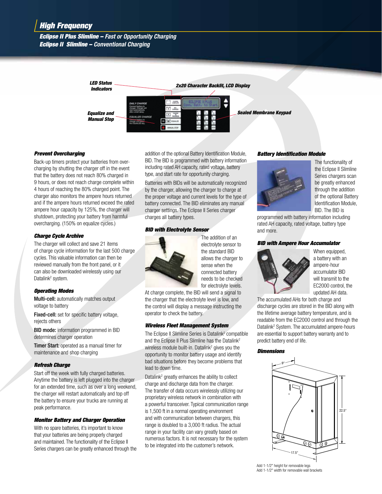### *Eclipse II Plus Slimline – Fast or Opportunity Charging Eclipse II Slimline – Conventional Charging*



### *Prevent Overcharging*

Back-up timers protect your batteries from overcharging by shutting the charger off in the event that the battery does not reach 80% charged in 9 hours, or does not reach charge complete within 4 hours of reaching the 80% charged point. The charger also monitors the ampere hours returned and if the ampere hours returned exceed the rated ampere hour capacity by 125%, the charger will shutdown, protecting your battery from harmful overcharging. (150% on equalize cycles.)

### *Charge Cycle Archive*

The charger will collect and save 21 items of charge cycle information for the last 500 charge cycles. This valuable information can then be reviewed manually from the front panel, or it can also be downloaded wirelessly using our Datalink<sup>2</sup> system.

### *Operating Modes*

Multi-cell: automatically matches output voltage to battery

Fixed-cell: set for specific battery voltage, rejects others

BID mode: information programmed in BID determines charger operation

Timer Start: operated as a manual timer for maintenance and shop charging

### *Refresh Charge*

Start off the week with fully charged batteries. Anytime the battery is left plugged into the charger for an extended time, such as over a long weekend, the charger will restart automatically and top off the battery to ensure your trucks are running at peak performance.

### *Monitor Battery and Charger Operation*

With no spare batteries, it's important to know that your batteries are being properly charged and maintained. The functionality of the Eclipse II Series chargers can be greatly enhanced through the addition of the optional Battery Identification Module, BID. The BID is programmed with battery information including rated AH capacity, rated voltage, battery type, and start rate for opportunity charging.

Batteries with BIDs will be automatically recognized by the charger, allowing the charger to charge at the proper voltage and current levels for the type of battery connected. The BID eliminates any manual charger settings. The Eclipse II Series charger charges all battery types.

### *BID with Electrolyte Sensor*



The addition of an electrolyte sensor to the standard BID allows the charger to sense when the connected battery needs to be checked for electrolyte levels.

At charge complete, the BID will send a signal to the charger that the electrolyte level is low, and the control will display a message instructing the operator to check the battery.

### *Wireless Fleet Management System*

The Eclipse II Slimline Series is Datalink<sup>2</sup> compatible and the Eclipse II Plus Slimline has the Datalink<sup>2</sup> wireless module built-in. Datalink<sup>2</sup> gives you the opportunity to monitor battery usage and identify bad situations before they become problems that lead to down time.

Datalink<sup>2</sup> greatly enhances the ability to collect charge and discharge data from the charger. The transfer of data occurs wirelessly utilizing our proprietary wireless network in combination with a powerful transceiver. Typical communication range is 1,500 ft in a normal operating environment and with communication between chargers, this range is doubled to a 3,000 ft radius. The actual range in your facility can vary greatly based on numerous factors. It is not necessary for the system to be integrated into the customer's network.

### *Battery Identification Module*



The functionality of the Eclipse II Slimline Series chargers scan be greatly enhanced through the addition of the optional Battery Identification Module, BID. The BID is

programmed with battery information including rated AH capacity, rated voltage, battery type and more.

### *BID with Ampere Hour Accumulator*



When equipped, a battery with an ampere-hour accumulator BID will transmit to the EC2000 control, the updated AH data.

The accumulated AHs for both charge and discharge cycles are stored in the BID along with the lifetime average battery temperature, and is readable from the EC2000 control and through the Datalink<sup>2</sup> System. The accumulated ampere-hours are essential to support battery warranty and to predict battery end of life.

### *Dimensions*



Add 1-1/2" height for removable legs Add 1-1/2" width for removable wall brackets